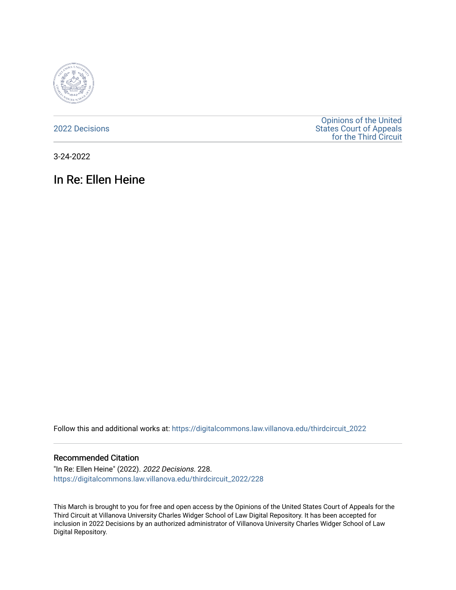

[2022 Decisions](https://digitalcommons.law.villanova.edu/thirdcircuit_2022)

[Opinions of the United](https://digitalcommons.law.villanova.edu/thirdcircuit)  [States Court of Appeals](https://digitalcommons.law.villanova.edu/thirdcircuit)  [for the Third Circuit](https://digitalcommons.law.villanova.edu/thirdcircuit) 

3-24-2022

# In Re: Ellen Heine

Follow this and additional works at: [https://digitalcommons.law.villanova.edu/thirdcircuit\\_2022](https://digitalcommons.law.villanova.edu/thirdcircuit_2022?utm_source=digitalcommons.law.villanova.edu%2Fthirdcircuit_2022%2F228&utm_medium=PDF&utm_campaign=PDFCoverPages) 

#### Recommended Citation

"In Re: Ellen Heine" (2022). 2022 Decisions. 228. [https://digitalcommons.law.villanova.edu/thirdcircuit\\_2022/228](https://digitalcommons.law.villanova.edu/thirdcircuit_2022/228?utm_source=digitalcommons.law.villanova.edu%2Fthirdcircuit_2022%2F228&utm_medium=PDF&utm_campaign=PDFCoverPages)

This March is brought to you for free and open access by the Opinions of the United States Court of Appeals for the Third Circuit at Villanova University Charles Widger School of Law Digital Repository. It has been accepted for inclusion in 2022 Decisions by an authorized administrator of Villanova University Charles Widger School of Law Digital Repository.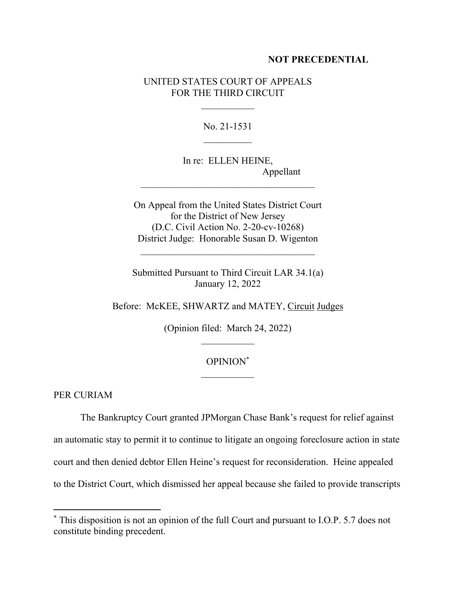#### **NOT PRECEDENTIAL**

### UNITED STATES COURT OF APPEALS FOR THE THIRD CIRCUIT

No. 21-1531  $\mathcal{L}_\text{max}$ 

In re: ELLEN HEINE, Appellant

On Appeal from the United States District Court for the District of New Jersey (D.C. Civil Action No. 2-20-cv-10268) District Judge: Honorable Susan D. Wigenton

Submitted Pursuant to Third Circuit LAR 34.1(a) January 12, 2022

Before: McKEE, SHWARTZ and MATEY, Circuit Judges

(Opinion filed: March 24, 2022)  $\frac{1}{2}$ 

## OPINION\*

PER CURIAM

 The Bankruptcy Court granted JPMorgan Chase Bank's request for relief against an automatic stay to permit it to continue to litigate an ongoing foreclosure action in state court and then denied debtor Ellen Heine's request for reconsideration. Heine appealed to the District Court, which dismissed her appeal because she failed to provide transcripts

<sup>\*</sup> This disposition is not an opinion of the full Court and pursuant to I.O.P. 5.7 does not constitute binding precedent.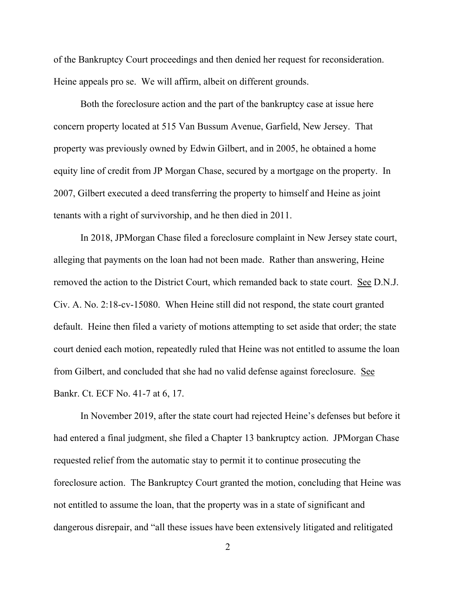of the Bankruptcy Court proceedings and then denied her request for reconsideration. Heine appeals pro se. We will affirm, albeit on different grounds.

 Both the foreclosure action and the part of the bankruptcy case at issue here concern property located at 515 Van Bussum Avenue, Garfield, New Jersey. That property was previously owned by Edwin Gilbert, and in 2005, he obtained a home equity line of credit from JP Morgan Chase, secured by a mortgage on the property. In 2007, Gilbert executed a deed transferring the property to himself and Heine as joint tenants with a right of survivorship, and he then died in 2011.

 In 2018, JPMorgan Chase filed a foreclosure complaint in New Jersey state court, alleging that payments on the loan had not been made. Rather than answering, Heine removed the action to the District Court, which remanded back to state court. See D.N.J. Civ. A. No. 2:18-cv-15080. When Heine still did not respond, the state court granted default. Heine then filed a variety of motions attempting to set aside that order; the state court denied each motion, repeatedly ruled that Heine was not entitled to assume the loan from Gilbert, and concluded that she had no valid defense against foreclosure. See Bankr. Ct. ECF No. 41-7 at 6, 17.

 In November 2019, after the state court had rejected Heine's defenses but before it had entered a final judgment, she filed a Chapter 13 bankruptcy action. JPMorgan Chase requested relief from the automatic stay to permit it to continue prosecuting the foreclosure action. The Bankruptcy Court granted the motion, concluding that Heine was not entitled to assume the loan, that the property was in a state of significant and dangerous disrepair, and "all these issues have been extensively litigated and relitigated

2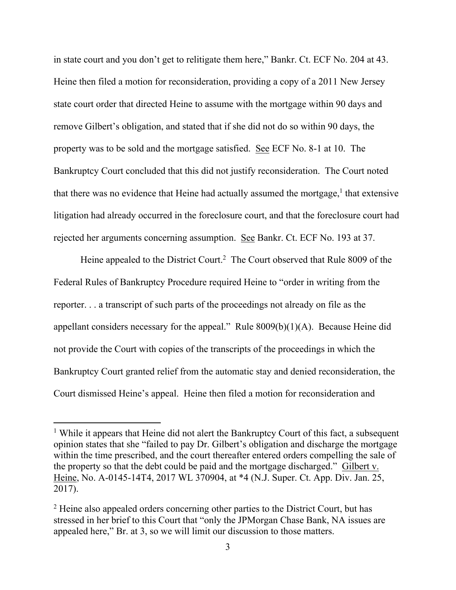in state court and you don't get to relitigate them here," Bankr. Ct. ECF No. 204 at 43. Heine then filed a motion for reconsideration, providing a copy of a 2011 New Jersey state court order that directed Heine to assume with the mortgage within 90 days and remove Gilbert's obligation, and stated that if she did not do so within 90 days, the property was to be sold and the mortgage satisfied. See ECF No. 8-1 at 10. The Bankruptcy Court concluded that this did not justify reconsideration. The Court noted that there was no evidence that Heine had actually assumed the mortgage, $<sup>1</sup>$  that extensive</sup> litigation had already occurred in the foreclosure court, and that the foreclosure court had rejected her arguments concerning assumption. See Bankr. Ct. ECF No. 193 at 37.

Heine appealed to the District Court.<sup>2</sup> The Court observed that Rule 8009 of the Federal Rules of Bankruptcy Procedure required Heine to "order in writing from the reporter. . . a transcript of such parts of the proceedings not already on file as the appellant considers necessary for the appeal." Rule 8009(b)(1)(A). Because Heine did not provide the Court with copies of the transcripts of the proceedings in which the Bankruptcy Court granted relief from the automatic stay and denied reconsideration, the Court dismissed Heine's appeal. Heine then filed a motion for reconsideration and

<sup>&</sup>lt;sup>1</sup> While it appears that Heine did not alert the Bankruptcy Court of this fact, a subsequent opinion states that she "failed to pay Dr. Gilbert's obligation and discharge the mortgage within the time prescribed, and the court thereafter entered orders compelling the sale of the property so that the debt could be paid and the mortgage discharged." Gilbert v. Heine, No. A-0145-14T4, 2017 WL 370904, at \*4 (N.J. Super. Ct. App. Div. Jan. 25, 2017).

<sup>&</sup>lt;sup>2</sup> Heine also appealed orders concerning other parties to the District Court, but has stressed in her brief to this Court that "only the JPMorgan Chase Bank, NA issues are appealed here," Br. at 3, so we will limit our discussion to those matters.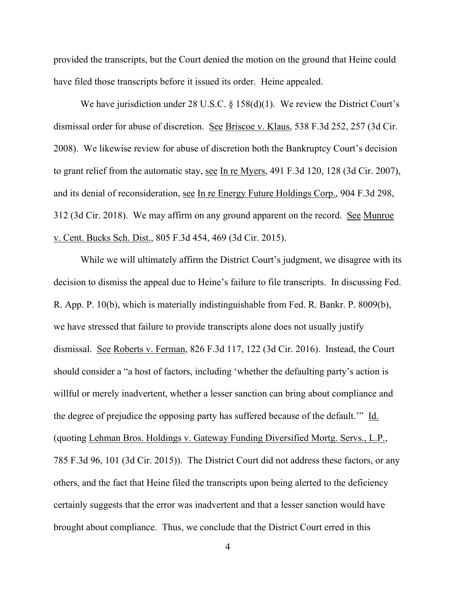provided the transcripts, but the Court denied the motion on the ground that Heine could have filed those transcripts before it issued its order. Heine appealed.

We have jurisdiction under 28 U.S.C. § 158(d)(1). We review the District Court's dismissal order for abuse of discretion. See Briscoe v. Klaus, 538 F.3d 252, 257 (3d Cir. 2008). We likewise review for abuse of discretion both the Bankruptcy Court's decision to grant relief from the automatic stay, see In re Myers, 491 F.3d 120, 128 (3d Cir. 2007), and its denial of reconsideration, see In re Energy Future Holdings Corp., 904 F.3d 298, 312 (3d Cir. 2018). We may affirm on any ground apparent on the record. See Munroe v. Cent. Bucks Sch. Dist., 805 F.3d 454, 469 (3d Cir. 2015).

 While we will ultimately affirm the District Court's judgment, we disagree with its decision to dismiss the appeal due to Heine's failure to file transcripts. In discussing Fed. R. App. P. 10(b), which is materially indistinguishable from Fed. R. Bankr. P. 8009(b), we have stressed that failure to provide transcripts alone does not usually justify dismissal. See Roberts v. Ferman, 826 F.3d 117, 122 (3d Cir. 2016). Instead, the Court should consider a "a host of factors, including 'whether the defaulting party's action is willful or merely inadvertent, whether a lesser sanction can bring about compliance and the degree of prejudice the opposing party has suffered because of the default.'" Id. (quoting Lehman Bros. Holdings v. Gateway Funding Diversified Mortg. Servs., L.P., 785 F.3d 96, 101 (3d Cir. 2015)). The District Court did not address these factors, or any others, and the fact that Heine filed the transcripts upon being alerted to the deficiency certainly suggests that the error was inadvertent and that a lesser sanction would have brought about compliance. Thus, we conclude that the District Court erred in this

4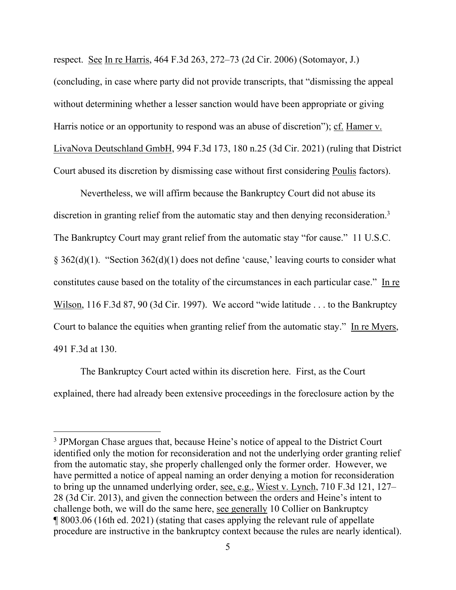respect. See In re Harris, 464 F.3d 263, 272–73 (2d Cir. 2006) (Sotomayor, J.) (concluding, in case where party did not provide transcripts, that "dismissing the appeal without determining whether a lesser sanction would have been appropriate or giving Harris notice or an opportunity to respond was an abuse of discretion"); cf. Hamer v. LivaNova Deutschland GmbH, 994 F.3d 173, 180 n.25 (3d Cir. 2021) (ruling that District Court abused its discretion by dismissing case without first considering Poulis factors).

 Nevertheless, we will affirm because the Bankruptcy Court did not abuse its discretion in granting relief from the automatic stay and then denying reconsideration.<sup>3</sup> The Bankruptcy Court may grant relief from the automatic stay "for cause." 11 U.S.C. § 362(d)(1). "Section 362(d)(1) does not define 'cause,' leaving courts to consider what constitutes cause based on the totality of the circumstances in each particular case." In re Wilson, 116 F.3d 87, 90 (3d Cir. 1997). We accord "wide latitude . . . to the Bankruptcy Court to balance the equities when granting relief from the automatic stay." In re Myers, 491 F.3d at 130.

 The Bankruptcy Court acted within its discretion here. First, as the Court explained, there had already been extensive proceedings in the foreclosure action by the

<sup>&</sup>lt;sup>3</sup> JPMorgan Chase argues that, because Heine's notice of appeal to the District Court identified only the motion for reconsideration and not the underlying order granting relief from the automatic stay, she properly challenged only the former order. However, we have permitted a notice of appeal naming an order denying a motion for reconsideration to bring up the unnamed underlying order, see, e.g., Wiest v. Lynch, 710 F.3d 121, 127– 28 (3d Cir. 2013), and given the connection between the orders and Heine's intent to challenge both, we will do the same here, see generally 10 Collier on Bankruptcy ¶ 8003.06 (16th ed. 2021) (stating that cases applying the relevant rule of appellate procedure are instructive in the bankruptcy context because the rules are nearly identical).